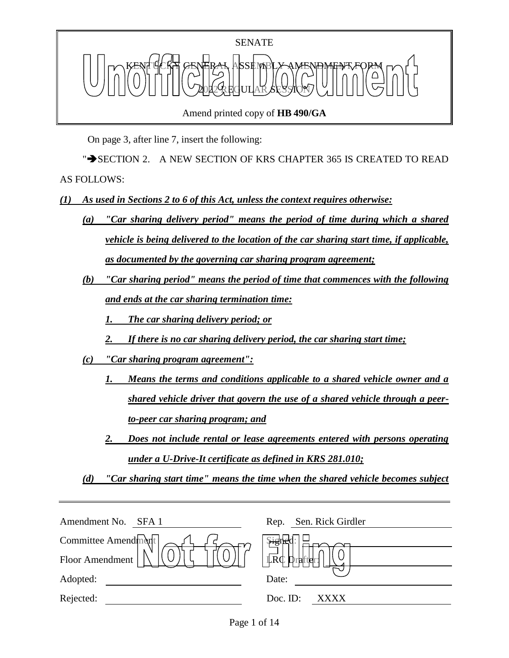

Amend printed copy of **HB 490/GA**

On page 3, after line 7, insert the following:

">SECTION 2. A NEW SECTION OF KRS CHAPTER 365 IS CREATED TO READ AS FOLLOWS:

*(1) As used in Sections 2 to 6 of this Act, unless the context requires otherwise:*

- *(a) "Car sharing delivery period" means the period of time during which a shared vehicle is being delivered to the location of the car sharing start time, if applicable, as documented by the governing car sharing program agreement;*
- *(b) "Car sharing period" means the period of time that commences with the following and ends at the car sharing termination time:*

*1. The car sharing delivery period; or*

- *2. If there is no car sharing delivery period, the car sharing start time;*
- *(c) "Car sharing program agreement":*
	- *1. Means the terms and conditions applicable to a shared vehicle owner and a shared vehicle driver that govern the use of a shared vehicle through a peerto-peer car sharing program; and*
	- *2. Does not include rental or lease agreements entered with persons operating under a U-Drive-It certificate as defined in KRS 281.010;*

*(d) "Car sharing start time" means the time when the shared vehicle becomes subject* 

| Amendment No. SFA 1 | Sen. Rick Girdler<br>Rep. |
|---------------------|---------------------------|
| Committee Amendment |                           |
| Floor Amendment     | <b>LRC</b><br>Drafter:    |
| Adopted:            | Date:                     |
| Rejected:           | Doc. ID:<br>XXXX.         |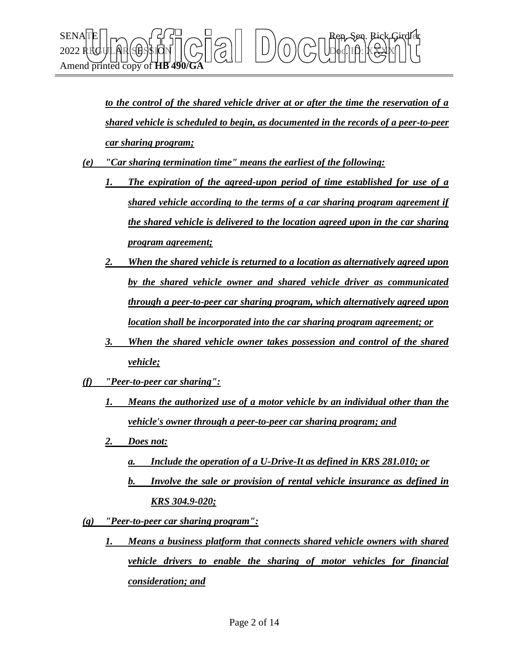

*to the control of the shared vehicle driver at or after the time the reservation of a shared vehicle is scheduled to begin, as documented in the records of a peer-to-peer car sharing program;*

- *(e) "Car sharing termination time" means the earliest of the following:*
	- *1. The expiration of the agreed-upon period of time established for use of a shared vehicle according to the terms of a car sharing program agreement if the shared vehicle is delivered to the location agreed upon in the car sharing program agreement;*
	- *2. When the shared vehicle is returned to a location as alternatively agreed upon by the shared vehicle owner and shared vehicle driver as communicated through a peer-to-peer car sharing program, which alternatively agreed upon location shall be incorporated into the car sharing program agreement; or*
	- *3. When the shared vehicle owner takes possession and control of the shared vehicle;*
- *(f) "Peer-to-peer car sharing":*
	- *1. Means the authorized use of a motor vehicle by an individual other than the vehicle's owner through a peer-to-peer car sharing program; and*
	- *2. Does not:*
		- *a. Include the operation of a U-Drive-It as defined in KRS 281.010; or*
		- *b. Involve the sale or provision of rental vehicle insurance as defined in KRS 304.9-020;*
- *(g) "Peer-to-peer car sharing program":*
	- *1. Means a business platform that connects shared vehicle owners with shared vehicle drivers to enable the sharing of motor vehicles for financial consideration; and*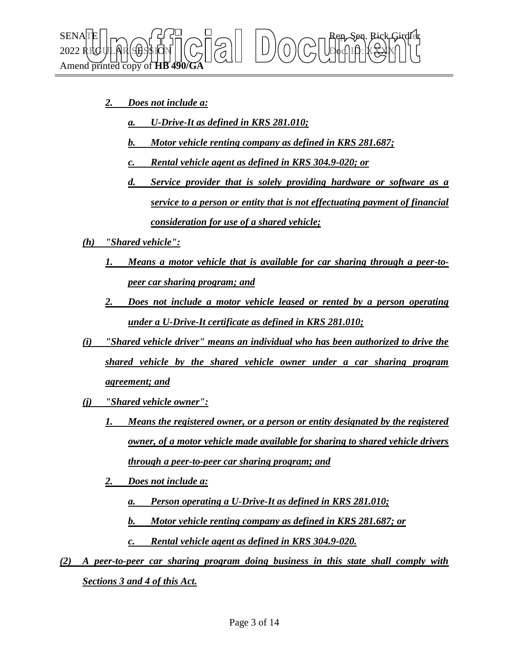

## *2. Does not include a:*

- *a. U-Drive-It as defined in KRS 281.010;*
- *b. Motor vehicle renting company as defined in KRS 281.687;*
- *c. Rental vehicle agent as defined in KRS 304.9-020; or*
- *d. Service provider that is solely providing hardware or software as a service to a person or entity that is not effectuating payment of financial consideration for use of a shared vehicle;*
- *(h) "Shared vehicle":*
	- *1. Means a motor vehicle that is available for car sharing through a peer-topeer car sharing program; and*
	- *2. Does not include a motor vehicle leased or rented by a person operating under a U-Drive-It certificate as defined in KRS 281.010;*
- *(i) "Shared vehicle driver" means an individual who has been authorized to drive the shared vehicle by the shared vehicle owner under a car sharing program agreement; and*
- *(j) "Shared vehicle owner":*
	- *1. Means the registered owner, or a person or entity designated by the registered owner, of a motor vehicle made available for sharing to shared vehicle drivers through a peer-to-peer car sharing program; and*
	- *2. Does not include a:*
		- *a. Person operating a U-Drive-It as defined in KRS 281.010;*
		- *b. Motor vehicle renting company as defined in KRS 281.687; or*
		- *c. Rental vehicle agent as defined in KRS 304.9-020.*
- *(2) A peer-to-peer car sharing program doing business in this state shall comply with Sections 3 and 4 of this Act.*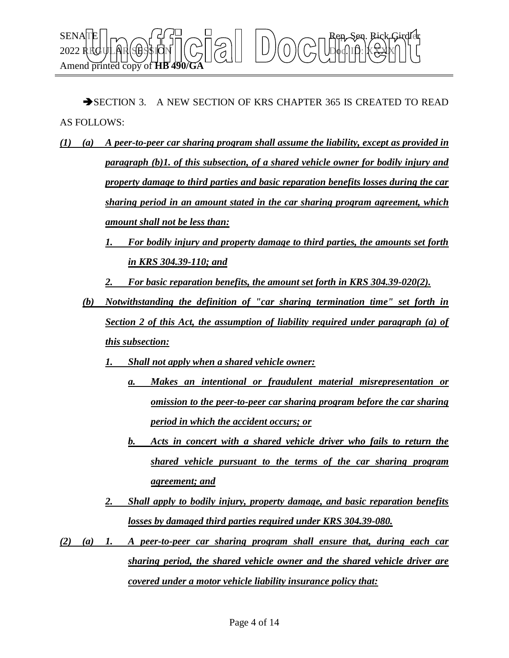

SECTION 3. A NEW SECTION OF KRS CHAPTER 365 IS CREATED TO READ AS FOLLOWS:

- *(1) (a) A peer-to-peer car sharing program shall assume the liability, except as provided in paragraph (b)1. of this subsection, of a shared vehicle owner for bodily injury and property damage to third parties and basic reparation benefits losses during the car sharing period in an amount stated in the car sharing program agreement, which amount shall not be less than:*
	- *1. For bodily injury and property damage to third parties, the amounts set forth in KRS 304.39-110; and*
	- *2. For basic reparation benefits, the amount set forth in KRS 304.39-020(2).*
	- *(b) Notwithstanding the definition of "car sharing termination time" set forth in Section 2 of this Act, the assumption of liability required under paragraph (a) of this subsection:*
		- *1. Shall not apply when a shared vehicle owner:*
			- *a. Makes an intentional or fraudulent material misrepresentation or omission to the peer-to-peer car sharing program before the car sharing period in which the accident occurs; or*
			- *b. Acts in concert with a shared vehicle driver who fails to return the shared vehicle pursuant to the terms of the car sharing program agreement; and*
		- *2. Shall apply to bodily injury, property damage, and basic reparation benefits losses by damaged third parties required under KRS 304.39-080.*
- *(2) (a) 1. A peer-to-peer car sharing program shall ensure that, during each car sharing period, the shared vehicle owner and the shared vehicle driver are covered under a motor vehicle liability insurance policy that:*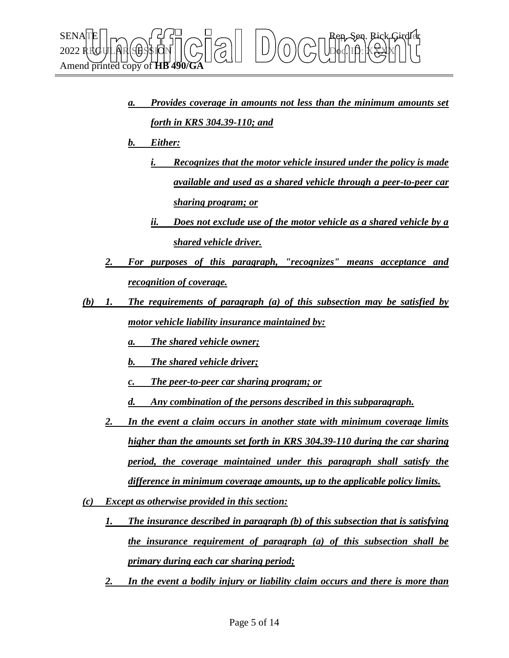

- *a. Provides coverage in amounts not less than the minimum amounts set forth in KRS 304.39-110; and*
- *b. Either:*
	- *i. Recognizes that the motor vehicle insured under the policy is made available and used as a shared vehicle through a peer-to-peer car sharing program; or*
	- *ii. Does not exclude use of the motor vehicle as a shared vehicle by a shared vehicle driver.*
- *2. For purposes of this paragraph, "recognizes" means acceptance and recognition of coverage.*
- *(b) 1. The requirements of paragraph (a) of this subsection may be satisfied by motor vehicle liability insurance maintained by:*
	- *a. The shared vehicle owner;*
	- *b. The shared vehicle driver;*
	- *c. The peer-to-peer car sharing program; or*
	- *d. Any combination of the persons described in this subparagraph.*
	- *2. In the event a claim occurs in another state with minimum coverage limits higher than the amounts set forth in KRS 304.39-110 during the car sharing period, the coverage maintained under this paragraph shall satisfy the difference in minimum coverage amounts, up to the applicable policy limits.*
- *(c) Except as otherwise provided in this section:*
	- *1. The insurance described in paragraph (b) of this subsection that is satisfying the insurance requirement of paragraph (a) of this subsection shall be primary during each car sharing period;*
	- *2. In the event a bodily injury or liability claim occurs and there is more than*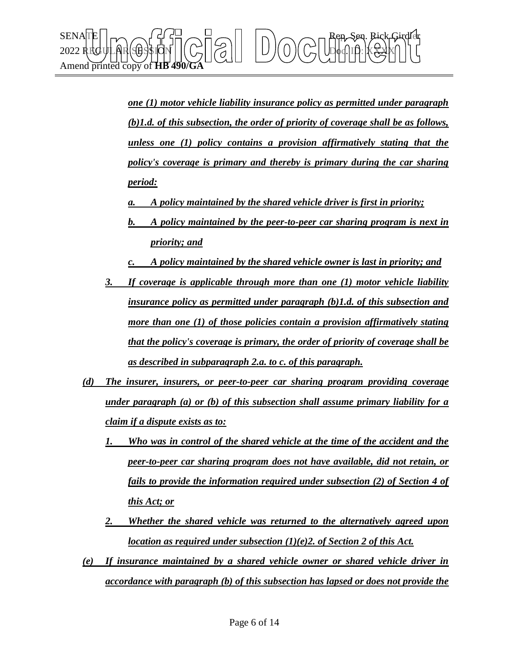

*one (1) motor vehicle liability insurance policy as permitted under paragraph (b)1.d. of this subsection, the order of priority of coverage shall be as follows, unless one (1) policy contains a provision affirmatively stating that the policy's coverage is primary and thereby is primary during the car sharing period:*

- *a. A policy maintained by the shared vehicle driver is first in priority;*
- *b. A policy maintained by the peer-to-peer car sharing program is next in priority; and*
- *c. A policy maintained by the shared vehicle owner is last in priority; and*
- *3. If coverage is applicable through more than one (1) motor vehicle liability insurance policy as permitted under paragraph (b)1.d. of this subsection and more than one (1) of those policies contain a provision affirmatively stating that the policy's coverage is primary, the order of priority of coverage shall be as described in subparagraph 2.a. to c. of this paragraph.*
- *(d) The insurer, insurers, or peer-to-peer car sharing program providing coverage under paragraph (a) or (b) of this subsection shall assume primary liability for a claim if a dispute exists as to:*
	- *1. Who was in control of the shared vehicle at the time of the accident and the peer-to-peer car sharing program does not have available, did not retain, or fails to provide the information required under subsection (2) of Section 4 of this Act; or*
	- *2. Whether the shared vehicle was returned to the alternatively agreed upon location as required under subsection (1)(e)2. of Section 2 of this Act.*
- *(e) If insurance maintained by a shared vehicle owner or shared vehicle driver in accordance with paragraph (b) of this subsection has lapsed or does not provide the*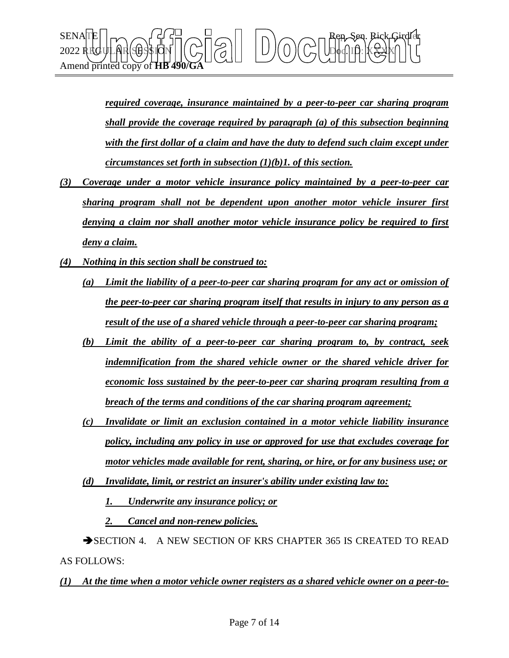

*required coverage, insurance maintained by a peer-to-peer car sharing program shall provide the coverage required by paragraph (a) of this subsection beginning with the first dollar of a claim and have the duty to defend such claim except under circumstances set forth in subsection (1)(b)1. of this section.*

- *(3) Coverage under a motor vehicle insurance policy maintained by a peer-to-peer car sharing program shall not be dependent upon another motor vehicle insurer first denying a claim nor shall another motor vehicle insurance policy be required to first deny a claim.*
- *(4) Nothing in this section shall be construed to:*
	- *(a) Limit the liability of a peer-to-peer car sharing program for any act or omission of the peer-to-peer car sharing program itself that results in injury to any person as a result of the use of a shared vehicle through a peer-to-peer car sharing program;*
	- *(b) Limit the ability of a peer-to-peer car sharing program to, by contract, seek indemnification from the shared vehicle owner or the shared vehicle driver for economic loss sustained by the peer-to-peer car sharing program resulting from a breach of the terms and conditions of the car sharing program agreement;*
	- *(c) Invalidate or limit an exclusion contained in a motor vehicle liability insurance policy, including any policy in use or approved for use that excludes coverage for motor vehicles made available for rent, sharing, or hire, or for any business use; or*
	- *(d) Invalidate, limit, or restrict an insurer's ability under existing law to:*

*1. Underwrite any insurance policy; or*

*2. Cancel and non-renew policies.*

SECTION 4. A NEW SECTION OF KRS CHAPTER 365 IS CREATED TO READ AS FOLLOWS:

*(1) At the time when a motor vehicle owner registers as a shared vehicle owner on a peer-to-*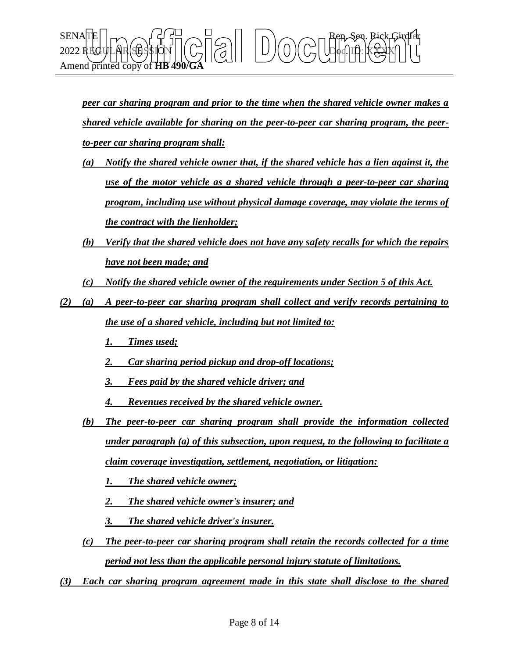

*peer car sharing program and prior to the time when the shared vehicle owner makes a shared vehicle available for sharing on the peer-to-peer car sharing program, the peerto-peer car sharing program shall:*

- *(a) Notify the shared vehicle owner that, if the shared vehicle has a lien against it, the use of the motor vehicle as a shared vehicle through a peer-to-peer car sharing program, including use without physical damage coverage, may violate the terms of the contract with the lienholder;*
- *(b) Verify that the shared vehicle does not have any safety recalls for which the repairs have not been made; and*
- *(c) Notify the shared vehicle owner of the requirements under Section 5 of this Act.*
- *(2) (a) A peer-to-peer car sharing program shall collect and verify records pertaining to the use of a shared vehicle, including but not limited to:*
	- *1. Times used;*
	- *2. Car sharing period pickup and drop-off locations;*
	- *3. Fees paid by the shared vehicle driver; and*
	- *4. Revenues received by the shared vehicle owner.*
	- *(b) The peer-to-peer car sharing program shall provide the information collected under paragraph (a) of this subsection, upon request, to the following to facilitate a claim coverage investigation, settlement, negotiation, or litigation:*

*1. The shared vehicle owner;*

*2. The shared vehicle owner's insurer; and*

*3. The shared vehicle driver's insurer.*

- *(c) The peer-to-peer car sharing program shall retain the records collected for a time period not less than the applicable personal injury statute of limitations.*
- *(3) Each car sharing program agreement made in this state shall disclose to the shared*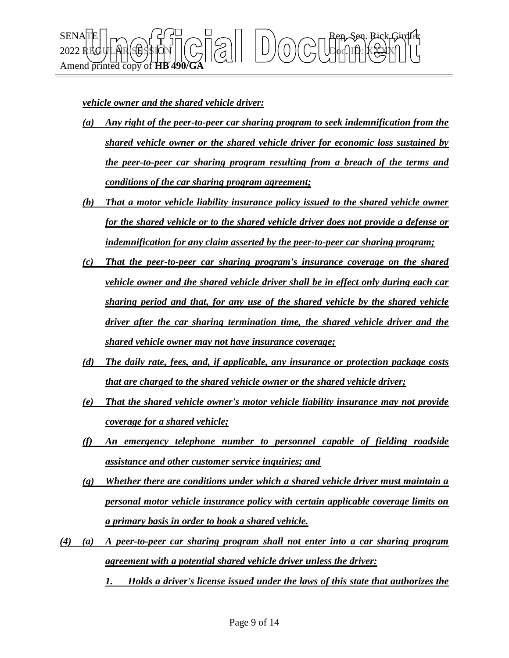

*vehicle owner and the shared vehicle driver:*

- *(a) Any right of the peer-to-peer car sharing program to seek indemnification from the shared vehicle owner or the shared vehicle driver for economic loss sustained by the peer-to-peer car sharing program resulting from a breach of the terms and conditions of the car sharing program agreement;*
- *(b) That a motor vehicle liability insurance policy issued to the shared vehicle owner for the shared vehicle or to the shared vehicle driver does not provide a defense or indemnification for any claim asserted by the peer-to-peer car sharing program;*
- *(c) That the peer-to-peer car sharing program's insurance coverage on the shared vehicle owner and the shared vehicle driver shall be in effect only during each car sharing period and that, for any use of the shared vehicle by the shared vehicle driver after the car sharing termination time, the shared vehicle driver and the shared vehicle owner may not have insurance coverage;*
- *(d) The daily rate, fees, and, if applicable, any insurance or protection package costs that are charged to the shared vehicle owner or the shared vehicle driver;*
- *(e) That the shared vehicle owner's motor vehicle liability insurance may not provide coverage for a shared vehicle;*
- *(f) An emergency telephone number to personnel capable of fielding roadside assistance and other customer service inquiries; and*
- *(g) Whether there are conditions under which a shared vehicle driver must maintain a personal motor vehicle insurance policy with certain applicable coverage limits on a primary basis in order to book a shared vehicle.*
- *(4) (a) A peer-to-peer car sharing program shall not enter into a car sharing program agreement with a potential shared vehicle driver unless the driver:*
	- *1. Holds a driver's license issued under the laws of this state that authorizes the*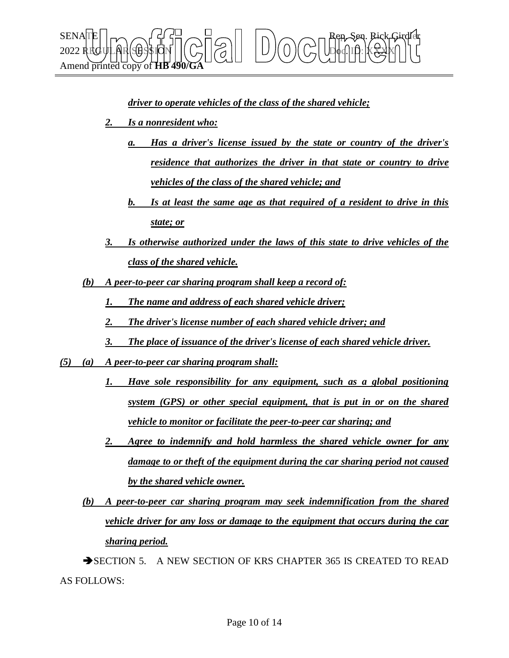

*driver to operate vehicles of the class of the shared vehicle;*

- *2. Is a nonresident who:*
	- *a. Has a driver's license issued by the state or country of the driver's residence that authorizes the driver in that state or country to drive vehicles of the class of the shared vehicle; and*
	- *b. Is at least the same age as that required of a resident to drive in this state; or*
- *3. Is otherwise authorized under the laws of this state to drive vehicles of the class of the shared vehicle.*
- *(b) A peer-to-peer car sharing program shall keep a record of:*
	- *1. The name and address of each shared vehicle driver;*
	- *2. The driver's license number of each shared vehicle driver; and*
	- *3. The place of issuance of the driver's license of each shared vehicle driver.*
- *(5) (a) A peer-to-peer car sharing program shall:*
	- *1. Have sole responsibility for any equipment, such as a global positioning system (GPS) or other special equipment, that is put in or on the shared vehicle to monitor or facilitate the peer-to-peer car sharing; and*
	- *2. Agree to indemnify and hold harmless the shared vehicle owner for any damage to or theft of the equipment during the car sharing period not caused by the shared vehicle owner.*
	- *(b) A peer-to-peer car sharing program may seek indemnification from the shared vehicle driver for any loss or damage to the equipment that occurs during the car sharing period.*

SECTION 5. A NEW SECTION OF KRS CHAPTER 365 IS CREATED TO READ AS FOLLOWS: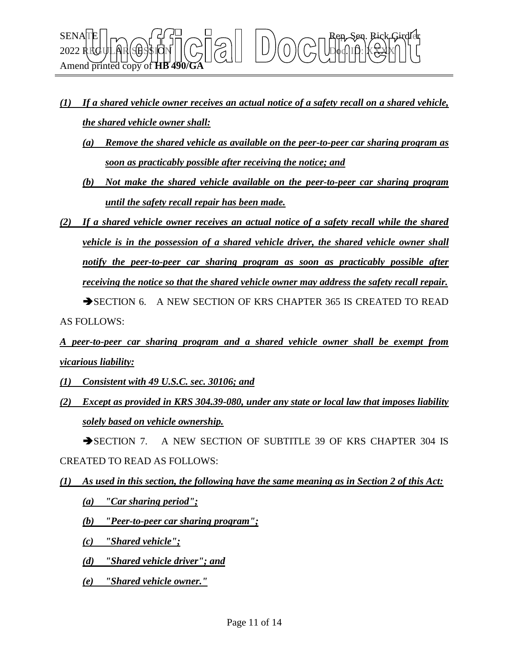

- *(1) If a shared vehicle owner receives an actual notice of a safety recall on a shared vehicle, the shared vehicle owner shall:*
	- *(a) Remove the shared vehicle as available on the peer-to-peer car sharing program as soon as practicably possible after receiving the notice; and*
	- *(b) Not make the shared vehicle available on the peer-to-peer car sharing program until the safety recall repair has been made.*
- *(2) If a shared vehicle owner receives an actual notice of a safety recall while the shared vehicle is in the possession of a shared vehicle driver, the shared vehicle owner shall notify the peer-to-peer car sharing program as soon as practicably possible after receiving the notice so that the shared vehicle owner may address the safety recall repair.* SECTION 6. A NEW SECTION OF KRS CHAPTER 365 IS CREATED TO READ

AS FOLLOWS:

- *A peer-to-peer car sharing program and a shared vehicle owner shall be exempt from vicarious liability:*
- *(1) Consistent with 49 U.S.C. sec. 30106; and*
- *(2) Except as provided in KRS 304.39-080, under any state or local law that imposes liability solely based on vehicle ownership.*

SECTION 7. A NEW SECTION OF SUBTITLE 39 OF KRS CHAPTER 304 IS CREATED TO READ AS FOLLOWS:

*(1) As used in this section, the following have the same meaning as in Section 2 of this Act: (a) "Car sharing period";*

*(b) "Peer-to-peer car sharing program";*

*(c) "Shared vehicle";*

*(d) "Shared vehicle driver"; and*

*(e) "Shared vehicle owner."*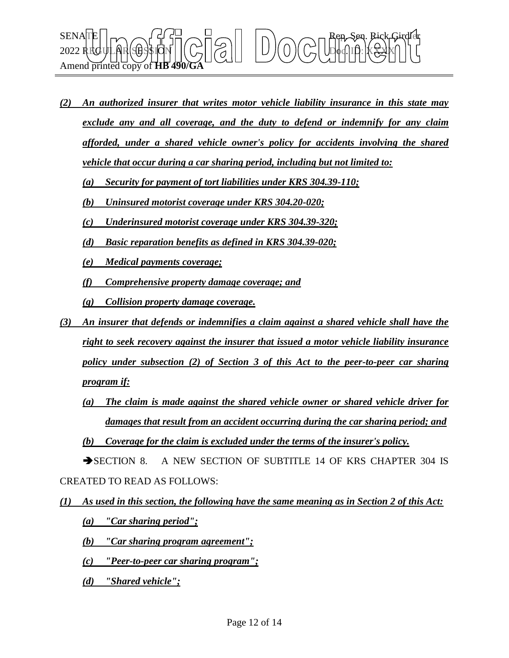

- *(2) An authorized insurer that writes motor vehicle liability insurance in this state may exclude any and all coverage, and the duty to defend or indemnify for any claim afforded, under a shared vehicle owner's policy for accidents involving the shared vehicle that occur during a car sharing period, including but not limited to:*
	- *(a) Security for payment of tort liabilities under KRS 304.39-110;*
	- *(b) Uninsured motorist coverage under KRS 304.20-020;*
	- *(c) Underinsured motorist coverage under KRS 304.39-320;*
	- *(d) Basic reparation benefits as defined in KRS 304.39-020;*
	- *(e) Medical payments coverage;*
	- *(f) Comprehensive property damage coverage; and*
	- *(g) Collision property damage coverage.*
- *(3) An insurer that defends or indemnifies a claim against a shared vehicle shall have the right to seek recovery against the insurer that issued a motor vehicle liability insurance policy under subsection (2) of Section 3 of this Act to the peer-to-peer car sharing program if:*
	- *(a) The claim is made against the shared vehicle owner or shared vehicle driver for damages that result from an accident occurring during the car sharing period; and*
	- *(b) Coverage for the claim is excluded under the terms of the insurer's policy.*

SECTION 8. A NEW SECTION OF SUBTITLE 14 OF KRS CHAPTER 304 IS CREATED TO READ AS FOLLOWS:

- *(1) As used in this section, the following have the same meaning as in Section 2 of this Act:*
	- *(a) "Car sharing period";*
	- *(b) "Car sharing program agreement";*
	- *(c) "Peer-to-peer car sharing program";*
	- *(d) "Shared vehicle";*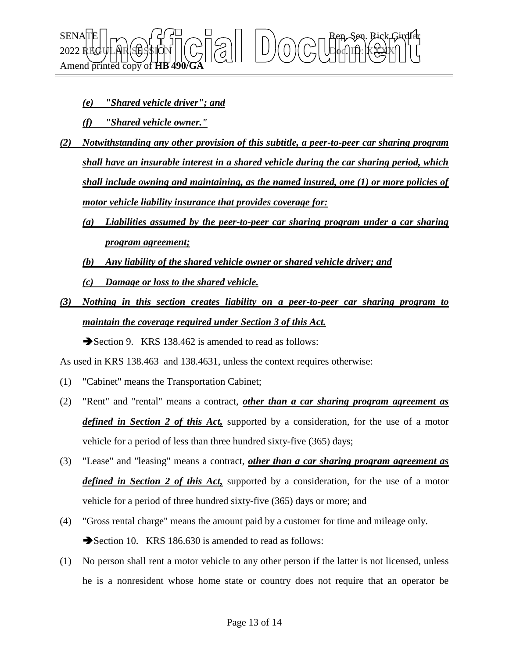

*(e) "Shared vehicle driver"; and*

*(f) "Shared vehicle owner."*

- *(2) Notwithstanding any other provision of this subtitle, a peer-to-peer car sharing program shall have an insurable interest in a shared vehicle during the car sharing period, which shall include owning and maintaining, as the named insured, one (1) or more policies of motor vehicle liability insurance that provides coverage for:*
	- *(a) Liabilities assumed by the peer-to-peer car sharing program under a car sharing program agreement;*
	- *(b) Any liability of the shared vehicle owner or shared vehicle driver; and (c) Damage or loss to the shared vehicle.*
- *(3) Nothing in this section creates liability on a peer-to-peer car sharing program to maintain the coverage required under Section 3 of this Act.*

Section 9. KRS 138.462 is amended to read as follows:

As used in KRS 138.463 and 138.4631, unless the context requires otherwise:

- (1) "Cabinet" means the Transportation Cabinet;
- (2) "Rent" and "rental" means a contract, *other than a car sharing program agreement as defined in Section 2 of this Act,* supported by a consideration, for the use of a motor vehicle for a period of less than three hundred sixty-five (365) days;
- (3) "Lease" and "leasing" means a contract, *other than a car sharing program agreement as defined in Section 2 of this Act,* supported by a consideration, for the use of a motor vehicle for a period of three hundred sixty-five (365) days or more; and
- (4) "Gross rental charge" means the amount paid by a customer for time and mileage only. Section 10. KRS 186.630 is amended to read as follows:
- (1) No person shall rent a motor vehicle to any other person if the latter is not licensed, unless he is a nonresident whose home state or country does not require that an operator be